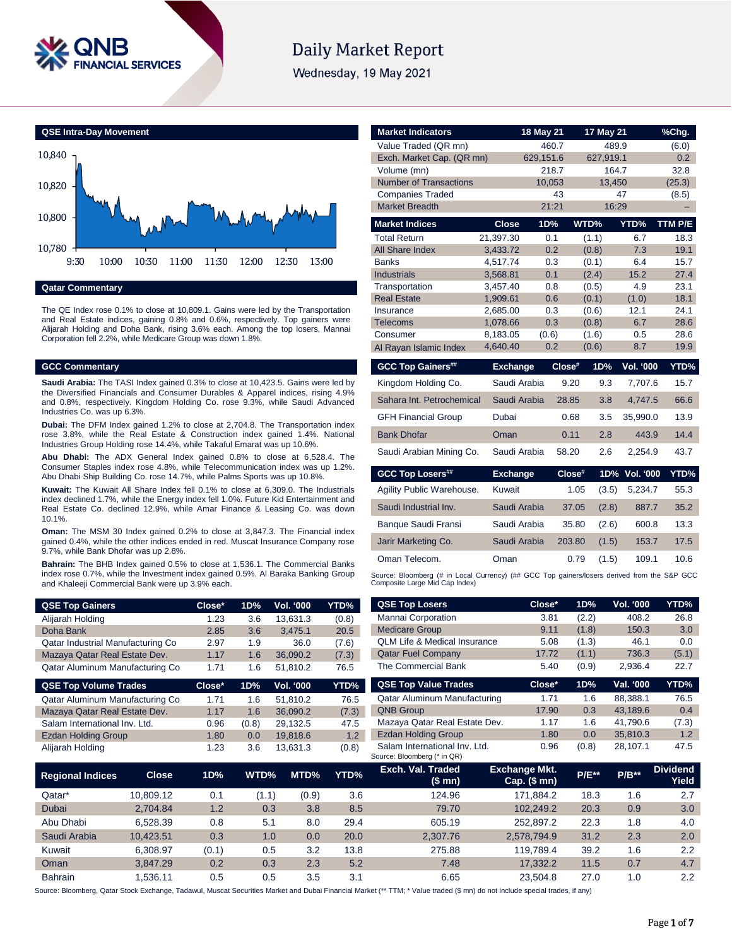

# **Daily Market Report**

Wednesday, 19 May 2021

**QSE Intra-Day Movement**



**Qatar Commentary**

The QE Index rose 0.1% to close at 10,809.1. Gains were led by the Transportation and Real Estate indices, gaining 0.8% and 0.6%, respectively. Top gainers were Alijarah Holding and Doha Bank, rising 3.6% each. Among the top losers, Mannai Corporation fell 2.2%, while Medicare Group was down 1.8%.

### **GCC Commentary**

**Saudi Arabia:** The TASI Index gained 0.3% to close at 10,423.5. Gains were led by the Diversified Financials and Consumer Durables & Apparel indices, rising 4.9% and 0.8%, respectively. Kingdom Holding Co. rose 9.3%, while Saudi Advanced Industries Co. was up 6.3%.

**Dubai:** The DFM Index gained 1.2% to close at 2,704.8. The Transportation index rose 3.8%, while the Real Estate & Construction index gained 1.4%. National Industries Group Holding rose 14.4%, while Takaful Emarat was up 10.6%.

**Abu Dhabi:** The ADX General Index gained 0.8% to close at 6,528.4. The Consumer Staples index rose 4.8%, while Telecommunication index was up 1.2%. Abu Dhabi Ship Building Co. rose 14.7%, while Palms Sports was up 10.8%.

**Kuwait:** The Kuwait All Share Index fell 0.1% to close at 6,309.0. The Industrials index declined 1.7%, while the Energy index fell 1.0%. Future Kid Entertainment and Real Estate Co. declined 12.9%, while Amar Finance & Leasing Co. was down 10.1%.

**Oman:** The MSM 30 Index gained 0.2% to close at 3,847.3. The Financial index gained 0.4%, while the other indices ended in red. Muscat Insurance Company rose 9.7%, while Bank Dhofar was up 2.8%.

**Bahrain:** The BHB Index gained 0.5% to close at 1,536.1. The Commercial Banks index rose 0.7%, while the Investment index gained 0.5%. Al Baraka Banking Group and Khaleeji Commercial Bank were up 3.9% each.

| <b>QSE Top Gainers</b>            | Close* | 1D% | <b>Vol. '000</b> | YTD%  |
|-----------------------------------|--------|-----|------------------|-------|
| Alijarah Holding                  | 1.23   | 3.6 | 13.631.3         | (0.8) |
| Doha Bank                         | 2.85   | 3.6 | 3.475.1          | 20.5  |
| Qatar Industrial Manufacturing Co | 2.97   | 1.9 | 36.0             | (7.6) |
| Mazaya Qatar Real Estate Dev.     | 1.17   | 1.6 | 36.090.2         | (7.3) |
| Qatar Aluminum Manufacturing Co   | 1.71   | 1.6 | 51.810.2         | 76.5  |

| <b>QSE Top Volume Trades</b>    | Close* | 1D%   | <b>Vol. '000</b> | YTD%  |
|---------------------------------|--------|-------|------------------|-------|
| Qatar Aluminum Manufacturing Co | 1.71   | 1.6   | 51.810.2         | 76.5  |
| Mazaya Qatar Real Estate Dev.   | 1.17   | 1.6   | 36.090.2         | (7.3) |
| Salam International Inv. Ltd.   | 0.96   | (0.8) | 29.132.5         | 47.5  |
| <b>Ezdan Holding Group</b>      | 1.80   | 0.0   | 19.818.6         | 1.2   |
| Alijarah Holding                | 1.23   | 3.6   | 13.631.3         | (0.8) |

| <b>Market Indicators</b>                         |                 | 18 May 21    |           | 17 May 21    |                  | %Chg.   |
|--------------------------------------------------|-----------------|--------------|-----------|--------------|------------------|---------|
| Value Traded (QR mn)                             |                 | 460.7        |           | 489.9        |                  | (6.0)   |
| Exch. Market Cap. (QR mn)                        |                 | 629,151.6    |           | 627,919.1    |                  | 0.2     |
| Volume (mn)                                      |                 | 218.7        |           | 164.7        |                  | 32.8    |
| <b>Number of Transactions</b>                    |                 | 10.053<br>43 |           | 13.450<br>47 |                  | (25.3)  |
| <b>Companies Traded</b><br><b>Market Breadth</b> |                 | 21:21        |           | 16:29        |                  | (8.5)   |
|                                                  |                 |              |           |              |                  |         |
| <b>Market Indices</b>                            | <b>Close</b>    | 1D%          | WTD%      |              | YTD%             | TTM P/E |
| <b>Total Return</b>                              | 21.397.30       | 0.1          | (1.1)     |              | 6.7              | 18.3    |
| All Share Index                                  | 3,433.72        | 0.2          | (0.8)     |              | 7.3              | 19.1    |
| <b>Banks</b>                                     | 4,517.74        | 0.3          | (0.1)     |              | 6.4              | 15.7    |
| <b>Industrials</b>                               | 3,568.81        | 0.1          | (2.4)     |              | 15.2             | 27.4    |
| Transportation                                   | 3.457.40        | 0.8          | (0.5)     |              | 4.9              | 23.1    |
| <b>Real Estate</b>                               | 1,909.61        | 0.6          | (0.1)     |              | (1.0)            | 18.1    |
| Insurance                                        | 2,685.00        | 0.3          | (0.6)     |              | 12.1             | 24.1    |
| <b>Telecoms</b>                                  | 1,078.66        | 0.3          | (0.8)     |              | 6.7              | 28.6    |
| Consumer                                         | 8.183.05        | (0.6)        | (1.6)     |              | 0.5              | 28.6    |
| Al Rayan Islamic Index                           | 4,640.40        | 0.2          | (0.6)     |              | 8.7              | 19.9    |
| <b>GCC Top Gainers##</b>                         | <b>Exchange</b> |              | $Close^*$ | 1D%          | <b>Vol. '000</b> | YTD%    |
| Kingdom Holding Co.                              | Saudi Arabia    |              | 9.20      | 9.3          | 7.707.6          | 15.7    |
| Sahara Int. Petrochemical                        | Saudi Arabia    |              | 28.85     | 3.8          | 4,747.5          | 66.6    |
| <b>GFH Financial Group</b>                       | Dubai           |              | 0.68      | 3.5          | 35,990.0         | 13.9    |
| <b>Bank Dhofar</b>                               | Oman            |              | 0.11      | 2.8          | 443.9            | 14.4    |
| Saudi Arabian Mining Co.                         | Saudi Arabia    |              | 58.20     | 2.6          | 2.254.9          | 43.7    |
| <b>GCC Top Losers##</b>                          | <b>Exchange</b> |              | Close#    | 1D%          | <b>Vol. '000</b> | YTD%    |
| Agility Public Warehouse.                        | Kuwait          |              | 1.05      | (3.5)        | 5,234.7          | 55.3    |
|                                                  |                 |              | 37.05     | (2.8)        | 887.7            | 35.2    |
| Saudi Industrial Inv.                            | Saudi Arabia    |              |           |              |                  |         |
| Banque Saudi Fransi                              | Saudi Arabia    |              | 35.80     | (2.6)        | 600.8            | 13.3    |
| Jarir Marketing Co.                              | Saudi Arabia    |              | 203.80    | (1.5)        | 153.7            | 17.5    |
| Oman Telecom.                                    | Oman            |              | 0.79      | (1.5)        | 109.1            | 10.6    |

| <b>QSE Top Losers</b>                                        | Close* | 1D%   | <b>Vol. '000</b> | YTD%  |
|--------------------------------------------------------------|--------|-------|------------------|-------|
| Mannai Corporation                                           | 3.81   | (2.2) | 408.2            | 26.8  |
| <b>Medicare Group</b>                                        | 9.11   | (1.8) | 150.3            | 3.0   |
| <b>OLM Life &amp; Medical Insurance</b>                      | 5.08   | (1.3) | 46.1             | 0.0   |
| <b>Qatar Fuel Company</b>                                    | 17.72  | (1.1) | 736.3            | (5.1) |
| The Commercial Bank                                          | 5.40   | (0.9) | 2,936.4          | 22.7  |
| <b>QSE Top Value Trades</b>                                  | Close* | 1D%   | Val. '000        | YTD%  |
| Qatar Aluminum Manufacturing                                 | 1.71   | 1.6   | 88.388.1         | 76.5  |
| <b>QNB Group</b>                                             | 17.90  | 0.3   | 43.189.6         | 0.4   |
|                                                              |        |       |                  |       |
| Mazaya Qatar Real Estate Dev.                                | 1.17   | 1.6   | 41.790.6         | (7.3) |
| <b>Ezdan Holding Group</b>                                   | 1.80   | 0.0   | 35.810.3         | 1.2   |
| Salam International Inv. Ltd.<br>Source: Bloomberg (* in QR) | 0.96   | (0.8) | 28,107.1         | 47.5  |

| <b>Regional Indices</b> | <b>Close</b> | 1D%   | WTD%  | MTD%  | YTD% | Exch. Val. Traded<br>(\$ mn) | <b>Exchange Mkt.</b><br>$Cap.$ (\$ mn) | <b>P/E**</b> | $P/B**$ | <b>Dividend</b><br>Yield |
|-------------------------|--------------|-------|-------|-------|------|------------------------------|----------------------------------------|--------------|---------|--------------------------|
| Qatar*                  | 10.809.12    | 0.1   | (1.1) | (0.9) | 3.6  | 124.96                       | 171.884.2                              | 18.3         | 1.6     | 2.7                      |
| Dubai                   | 2.704.84     | 1.2   | 0.3   | 3.8   | 8.5  | 79.70                        | 102.249.2                              | 20.3         | 0.9     | 3.0                      |
| Abu Dhabi               | 6.528.39     | 0.8   | 5.1   | 8.0   | 29.4 | 605.19                       | 252.897.2                              | 22.3         | 1.8     | 4.0                      |
| Saudi Arabia            | 10.423.51    | 0.3   | 1.0   | 0.0   | 20.0 | 2.307.76                     | 2.578.794.9                            | 31.2         | 2.3     | 2.0                      |
| Kuwait                  | 6.308.97     | (0.1) | 0.5   | 3.2   | 13.8 | 275.88                       | 119.789.4                              | 39.2         | 1.6     | 2.2                      |
| Oman                    | 3.847.29     | 0.2   | 0.3   | 2.3   | 5.2  | 7.48                         | 17.332.2                               | 11.5         | 0.7     | 4.7                      |
| <b>Bahrain</b>          | .536.11      | 0.5   | 0.5   | 3.5   | 3.1  | 6.65                         | 23.504.8                               | 27.0         | 1.0     | 2.2                      |

Source: Bloomberg, Qatar Stock Exchange, Tadawul, Muscat Securities Market and Dubai Financial Market (\*\* TTM; \* Value traded (\$ mn) do not include special trades, if any)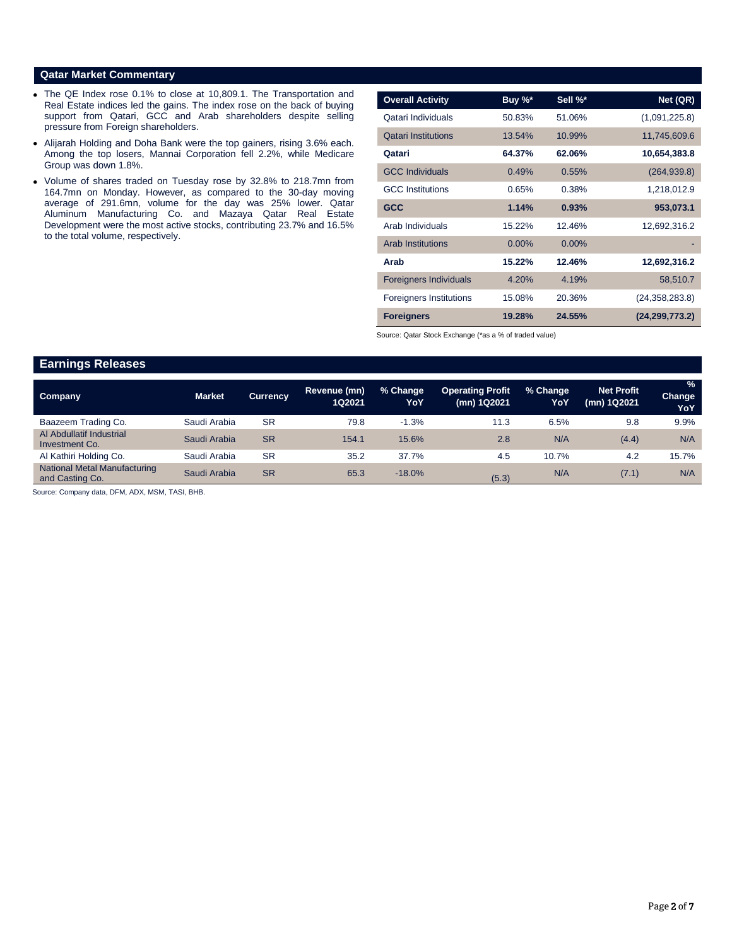### **Qatar Market Commentary**

- The QE Index rose 0.1% to close at 10,809.1. The Transportation and Real Estate indices led the gains. The index rose on the back of buying support from Qatari, GCC and Arab shareholders despite selling pressure from Foreign shareholders.
- Alijarah Holding and Doha Bank were the top gainers, rising 3.6% each. Among the top losers, Mannai Corporation fell 2.2%, while Medicare Group was down 1.8%.
- Volume of shares traded on Tuesday rose by 32.8% to 218.7mn from 164.7mn on Monday. However, as compared to the 30-day moving average of 291.6mn, volume for the day was 25% lower. Qatar Aluminum Manufacturing Co. and Mazaya Qatar Real Estate Development were the most active stocks, contributing 23.7% and 16.5% to the total volume, respectively.

| <b>Overall Activity</b>        | Buy %*   | Sell %*  | Net (QR)         |
|--------------------------------|----------|----------|------------------|
| Qatari Individuals             | 50.83%   | 51.06%   | (1,091,225.8)    |
| <b>Qatari Institutions</b>     | 13.54%   | 10.99%   | 11,745,609.6     |
| Qatari                         | 64.37%   | 62.06%   | 10,654,383.8     |
| <b>GCC Individuals</b>         | 0.49%    | 0.55%    | (264, 939.8)     |
| <b>GCC</b> Institutions        | 0.65%    | 0.38%    | 1,218,012.9      |
| <b>GCC</b>                     | 1.14%    | 0.93%    | 953,073.1        |
| Arab Individuals               | 15.22%   | 12.46%   | 12,692,316.2     |
| <b>Arab Institutions</b>       | $0.00\%$ | $0.00\%$ |                  |
| Arab                           | 15.22%   | 12.46%   | 12,692,316.2     |
| <b>Foreigners Individuals</b>  | 4.20%    | 4.19%    | 58,510.7         |
| <b>Foreigners Institutions</b> | 15.08%   | 20.36%   | (24, 358, 283.8) |
| <b>Foreigners</b>              | 19.28%   | 24.55%   | (24, 299, 773.2) |

Source: Qatar Stock Exchange (\*as a % of traded value)

# **Earnings Releases**

| Company                                                | <b>Market</b> | <b>Currency</b> | Revenue (mn)<br>1Q2021 | % Change<br>YoY | <b>Operating Profit</b><br>(mn) 1Q2021 | % Change<br>YoY | <b>Net Profit</b><br>(mn) 1Q2021 | $\frac{9}{6}$<br><b>Change</b><br>YoY |
|--------------------------------------------------------|---------------|-----------------|------------------------|-----------------|----------------------------------------|-----------------|----------------------------------|---------------------------------------|
| Baazeem Trading Co.                                    | Saudi Arabia  | <b>SR</b>       | 79.8                   | $-1.3%$         | 11.3                                   | 6.5%            | 9.8                              | 9.9%                                  |
| Al Abdullatif Industrial<br>Investment Co.             | Saudi Arabia  | <b>SR</b>       | 154.1                  | 15.6%           | 2.8                                    | N/A             | (4.4)                            | N/A                                   |
| Al Kathiri Holding Co.                                 | Saudi Arabia  | <b>SR</b>       | 35.2                   | 37.7%           | 4.5                                    | 10.7%           | 4.2                              | 15.7%                                 |
| <b>National Metal Manufacturing</b><br>and Casting Co. | Saudi Arabia  | <b>SR</b>       | 65.3                   | $-18.0%$        | (5.3)                                  | N/A             | (7.1)                            | N/A                                   |

Source: Company data, DFM, ADX, MSM, TASI, BHB.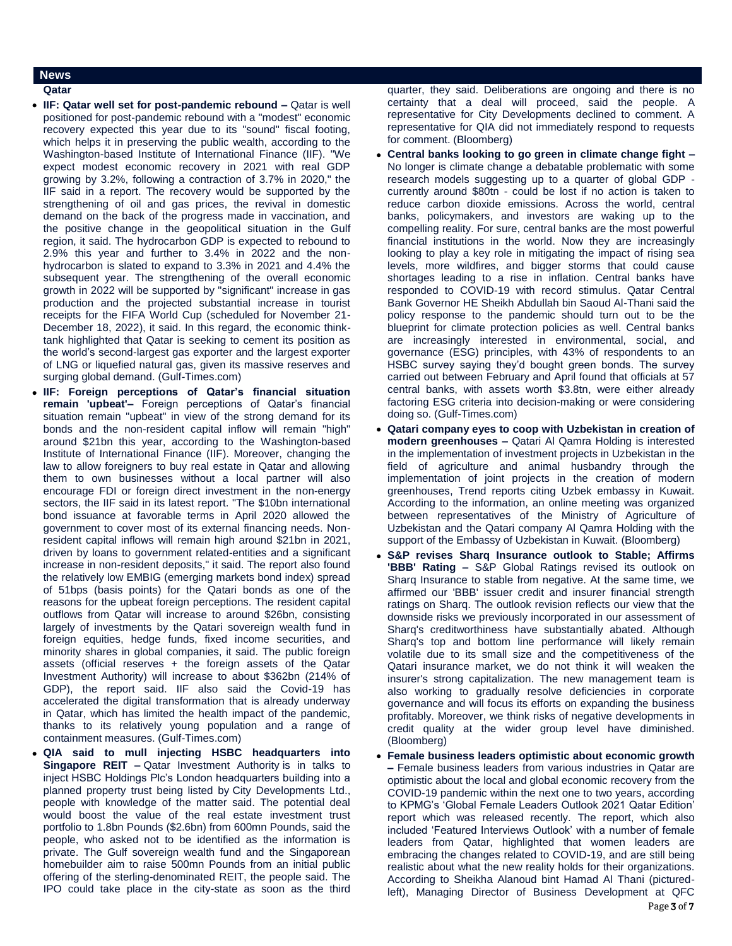### **News**

- **Qatar**
- **IIF: Qatar well set for post-pandemic rebound –** Qatar is well positioned for post-pandemic rebound with a "modest" economic recovery expected this year due to its "sound" fiscal footing, which helps it in preserving the public wealth, according to the Washington-based Institute of International Finance (IIF). "We expect modest economic recovery in 2021 with real GDP growing by 3.2%, following a contraction of 3.7% in 2020," the IIF said in a report. The recovery would be supported by the strengthening of oil and gas prices, the revival in domestic demand on the back of the progress made in vaccination, and the positive change in the geopolitical situation in the Gulf region, it said. The hydrocarbon GDP is expected to rebound to 2.9% this year and further to 3.4% in 2022 and the nonhydrocarbon is slated to expand to 3.3% in 2021 and 4.4% the subsequent year. The strengthening of the overall economic growth in 2022 will be supported by "significant" increase in gas production and the projected substantial increase in tourist receipts for the FIFA World Cup (scheduled for November 21- December 18, 2022), it said. In this regard, the economic thinktank highlighted that Qatar is seeking to cement its position as the world's second-largest gas exporter and the largest exporter of LNG or liquefied natural gas, given its massive reserves and surging global demand. (Gulf-Times.com)
- **IIF: Foreign perceptions of Qatar's financial situation remain 'upbeat'–** Foreign perceptions of Qatar's financial situation remain "upbeat" in view of the strong demand for its bonds and the non-resident capital inflow will remain "high" around \$21bn this year, according to the Washington-based Institute of International Finance (IIF). Moreover, changing the law to allow foreigners to buy real estate in Qatar and allowing them to own businesses without a local partner will also encourage FDI or foreign direct investment in the non-energy sectors, the IIF said in its latest report. "The \$10bn international bond issuance at favorable terms in April 2020 allowed the government to cover most of its external financing needs. Nonresident capital inflows will remain high around \$21bn in 2021, driven by loans to government related-entities and a significant increase in non-resident deposits," it said. The report also found the relatively low EMBIG (emerging markets bond index) spread of 51bps (basis points) for the Qatari bonds as one of the reasons for the upbeat foreign perceptions. The resident capital outflows from Qatar will increase to around \$26bn, consisting largely of investments by the Qatari sovereign wealth fund in foreign equities, hedge funds, fixed income securities, and minority shares in global companies, it said. The public foreign assets (official reserves + the foreign assets of the Qatar Investment Authority) will increase to about \$362bn (214% of GDP), the report said. IIF also said the Covid-19 has accelerated the digital transformation that is already underway in Qatar, which has limited the health impact of the pandemic, thanks to its relatively young population and a range of containment measures. (Gulf-Times.com)
- **QIA said to mull injecting HSBC headquarters into Singapore REIT –** Qatar Investment Authority is in talks to inject HSBC Holdings Plc's London headquarters building into a planned property trust being listed by City Developments Ltd., people with knowledge of the matter said. The potential deal would boost the value of the real estate investment trust portfolio to 1.8bn Pounds (\$2.6bn) from 600mn Pounds, said the people, who asked not to be identified as the information is private. The Gulf sovereign wealth fund and the Singaporean homebuilder aim to raise 500mn Pounds from an initial public offering of the sterling-denominated REIT, the people said. The IPO could take place in the city-state as soon as the third

quarter, they said. Deliberations are ongoing and there is no certainty that a deal will proceed, said the people. A representative for City Developments declined to comment. A representative for QIA did not immediately respond to requests for comment. (Bloomberg)

- **Central banks looking to go green in climate change fight –** No longer is climate change a debatable problematic with some research models suggesting up to a quarter of global GDP currently around \$80tn - could be lost if no action is taken to reduce carbon dioxide emissions. Across the world, central banks, policymakers, and investors are waking up to the compelling reality. For sure, central banks are the most powerful financial institutions in the world. Now they are increasingly looking to play a key role in mitigating the impact of rising sea levels, more wildfires, and bigger storms that could cause shortages leading to a rise in inflation. Central banks have responded to COVID-19 with record stimulus. Qatar Central Bank Governor HE Sheikh Abdullah bin Saoud Al-Thani said the policy response to the pandemic should turn out to be the blueprint for climate protection policies as well. Central banks are increasingly interested in environmental, social, and governance (ESG) principles, with 43% of respondents to an HSBC survey saying they'd bought green bonds. The survey carried out between February and April found that officials at 57 central banks, with assets worth \$3.8tn, were either already factoring ESG criteria into decision-making or were considering doing so. (Gulf-Times.com)
- **Qatari company eyes to coop with Uzbekistan in creation of modern greenhouses –** Qatari Al Qamra Holding is interested in the implementation of investment projects in Uzbekistan in the field of agriculture and animal husbandry through the implementation of joint projects in the creation of modern greenhouses, Trend reports citing Uzbek embassy in Kuwait. According to the information, an online meeting was organized between representatives of the Ministry of Agriculture of Uzbekistan and the Qatari company Al Qamra Holding with the support of the Embassy of Uzbekistan in Kuwait. (Bloomberg)
- **S&P revises Sharq Insurance outlook to Stable; Affirms 'BBB' Rating –** S&P Global Ratings revised its outlook on Sharq Insurance to stable from negative. At the same time, we affirmed our 'BBB' issuer credit and insurer financial strength ratings on Sharq. The outlook revision reflects our view that the downside risks we previously incorporated in our assessment of Sharq's creditworthiness have substantially abated. Although Sharq's top and bottom line performance will likely remain volatile due to its small size and the competitiveness of the Qatari insurance market, we do not think it will weaken the insurer's strong capitalization. The new management team is also working to gradually resolve deficiencies in corporate governance and will focus its efforts on expanding the business profitably. Moreover, we think risks of negative developments in credit quality at the wider group level have diminished. (Bloomberg)
- **Female business leaders optimistic about economic growth –** Female business leaders from various industries in Qatar are optimistic about the local and global economic recovery from the COVID-19 pandemic within the next one to two years, according to KPMG's 'Global Female Leaders Outlook 2021 Qatar Edition' report which was released recently. The report, which also included 'Featured Interviews Outlook' with a number of female leaders from Qatar, highlighted that women leaders are embracing the changes related to COVID-19, and are still being realistic about what the new reality holds for their organizations. According to Sheikha Alanoud bint Hamad Al Thani (picturedleft), Managing Director of Business Development at QFC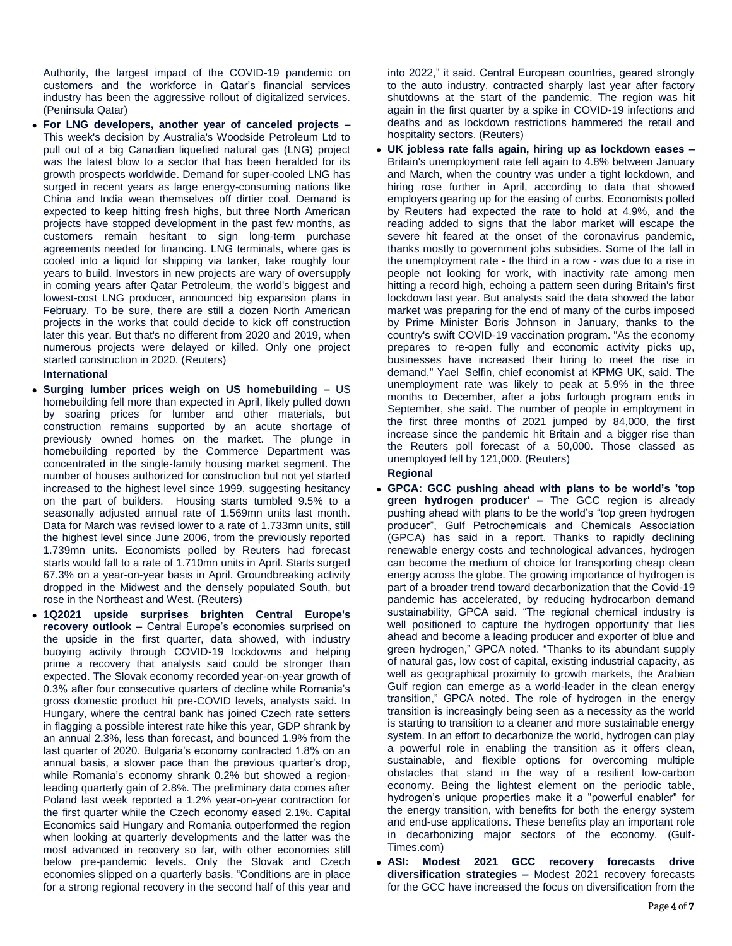Authority, the largest impact of the COVID-19 pandemic on customers and the workforce in Qatar's financial services industry has been the aggressive rollout of digitalized services. (Peninsula Qatar)

 **For LNG developers, another year of canceled projects –** This week's decision by Australia's Woodside Petroleum Ltd to pull out of a big Canadian liquefied natural gas (LNG) project was the latest blow to a sector that has been heralded for its growth prospects worldwide. Demand for super-cooled LNG has surged in recent years as large energy-consuming nations like China and India wean themselves off dirtier coal. Demand is expected to keep hitting fresh highs, but three North American projects have stopped development in the past few months, as customers remain hesitant to sign long-term purchase agreements needed for financing. LNG terminals, where gas is cooled into a liquid for shipping via tanker, take roughly four years to build. Investors in new projects are wary of oversupply in coming years after Qatar Petroleum, the world's biggest and lowest-cost LNG producer, announced big expansion plans in February. To be sure, there are still a dozen North American projects in the works that could decide to kick off construction later this year. But that's no different from 2020 and 2019, when numerous projects were delayed or killed. Only one project started construction in 2020. (Reuters)

### **International**

- **Surging lumber prices weigh on US homebuilding –** US homebuilding fell more than expected in April, likely pulled down by soaring prices for lumber and other materials, but construction remains supported by an acute shortage of previously owned homes on the market. The plunge in homebuilding reported by the Commerce Department was concentrated in the single-family housing market segment. The number of houses authorized for construction but not yet started increased to the highest level since 1999, suggesting hesitancy on the part of builders. Housing starts tumbled 9.5% to a seasonally adjusted annual rate of 1.569mn units last month. Data for March was revised lower to a rate of 1.733mn units, still the highest level since June 2006, from the previously reported 1.739mn units. Economists polled by Reuters had forecast starts would fall to a rate of 1.710mn units in April. Starts surged 67.3% on a year-on-year basis in April. Groundbreaking activity dropped in the Midwest and the densely populated South, but rose in the Northeast and West. (Reuters)
- **1Q2021 upside surprises brighten Central Europe's recovery outlook –** Central Europe's economies surprised on the upside in the first quarter, data showed, with industry buoying activity through COVID-19 lockdowns and helping prime a recovery that analysts said could be stronger than expected. The Slovak economy recorded year-on-year growth of 0.3% after four consecutive quarters of decline while Romania's gross domestic product hit pre-COVID levels, analysts said. In Hungary, where the central bank has joined Czech rate setters in flagging a possible interest rate hike this year, GDP shrank by an annual 2.3%, less than forecast, and bounced 1.9% from the last quarter of 2020. Bulgaria's economy contracted 1.8% on an annual basis, a slower pace than the previous quarter's drop, while Romania's economy shrank 0.2% but showed a regionleading quarterly gain of 2.8%. The preliminary data comes after Poland last week reported a 1.2% year-on-year contraction for the first quarter while the Czech economy eased 2.1%. Capital Economics said Hungary and Romania outperformed the region when looking at quarterly developments and the latter was the most advanced in recovery so far, with other economies still below pre-pandemic levels. Only the Slovak and Czech economies slipped on a quarterly basis. "Conditions are in place for a strong regional recovery in the second half of this year and

into 2022," it said. Central European countries, geared strongly to the auto industry, contracted sharply last year after factory shutdowns at the start of the pandemic. The region was hit again in the first quarter by a spike in COVID-19 infections and deaths and as lockdown restrictions hammered the retail and hospitality sectors. (Reuters)

- **UK jobless rate falls again, hiring up as lockdown eases –** Britain's unemployment rate fell again to 4.8% between January and March, when the country was under a tight lockdown, and hiring rose further in April, according to data that showed employers gearing up for the easing of curbs. Economists polled by Reuters had expected the rate to hold at 4.9%, and the reading added to signs that the labor market will escape the severe hit feared at the onset of the coronavirus pandemic, thanks mostly to government jobs subsidies. Some of the fall in the unemployment rate - the third in a row - was due to a rise in people not looking for work, with inactivity rate among men hitting a record high, echoing a pattern seen during Britain's first lockdown last year. But analysts said the data showed the labor market was preparing for the end of many of the curbs imposed by Prime Minister Boris Johnson in January, thanks to the country's swift COVID-19 vaccination program. "As the economy prepares to re-open fully and economic activity picks up, businesses have increased their hiring to meet the rise in demand," Yael  Selfin, chief economist at KPMG UK, said. The unemployment rate was likely to peak at 5.9% in the three months to December, after a jobs furlough program ends in September, she said. The number of people in employment in the first three months of 2021 jumped by 84,000, the first increase since the pandemic hit Britain and a bigger rise than the Reuters poll forecast of a 50,000. Those classed as unemployed fell by 121,000. (Reuters) **Regional**
- **GPCA: GCC pushing ahead with plans to be world's 'top green hydrogen producer' –** The GCC region is already pushing ahead with plans to be the world's "top green hydrogen producer", Gulf Petrochemicals and Chemicals Association (GPCA) has said in a report. Thanks to rapidly declining renewable energy costs and technological advances, hydrogen can become the medium of choice for transporting cheap clean energy across the globe. The growing importance of hydrogen is part of a broader trend toward decarbonization that the Covid-19 pandemic has accelerated, by reducing hydrocarbon demand sustainability, GPCA said. "The regional chemical industry is well positioned to capture the hydrogen opportunity that lies ahead and become a leading producer and exporter of blue and green hydrogen," GPCA noted. "Thanks to its abundant supply of natural gas, low cost of capital, existing industrial capacity, as well as geographical proximity to growth markets, the Arabian Gulf region can emerge as a world-leader in the clean energy transition," GPCA noted. The role of hydrogen in the energy transition is increasingly being seen as a necessity as the world is starting to transition to a cleaner and more sustainable energy system. In an effort to decarbonize the world, hydrogen can play a powerful role in enabling the transition as it offers clean, sustainable, and flexible options for overcoming multiple obstacles that stand in the way of a resilient low-carbon economy. Being the lightest element on the periodic table, hydrogen's unique properties make it a "powerful enabler" for the energy transition, with benefits for both the energy system and end-use applications. These benefits play an important role in decarbonizing major sectors of the economy. (Gulf-Times.com)
- **ASI: Modest 2021 GCC recovery forecasts drive diversification strategies –** Modest 2021 recovery forecasts for the GCC have increased the focus on diversification from the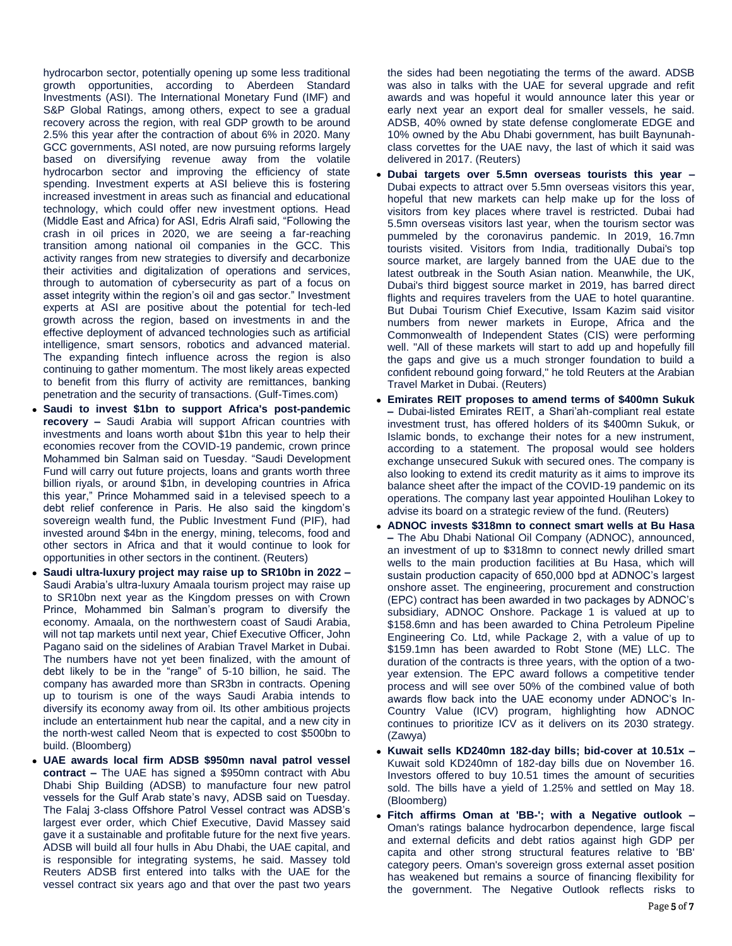hydrocarbon sector, potentially opening up some less traditional growth opportunities, according to Aberdeen Standard Investments (ASI). The International Monetary Fund (IMF) and S&P Global Ratings, among others, expect to see a gradual recovery across the region, with real GDP growth to be around 2.5% this year after the contraction of about 6% in 2020. Many GCC governments, ASI noted, are now pursuing reforms largely based on diversifying revenue away from the volatile hydrocarbon sector and improving the efficiency of state spending. Investment experts at ASI believe this is fostering increased investment in areas such as financial and educational technology, which could offer new investment options. Head (Middle East and Africa) for ASI, Edris Alrafi said, "Following the crash in oil prices in 2020, we are seeing a far-reaching transition among national oil companies in the GCC. This activity ranges from new strategies to diversify and decarbonize their activities and digitalization of operations and services, through to automation of cybersecurity as part of a focus on asset integrity within the region's oil and gas sector." Investment experts at ASI are positive about the potential for tech-led growth across the region, based on investments in and the effective deployment of advanced technologies such as artificial intelligence, smart sensors, robotics and advanced material. The expanding fintech influence across the region is also continuing to gather momentum. The most likely areas expected to benefit from this flurry of activity are remittances, banking penetration and the security of transactions. (Gulf-Times.com)

- **Saudi to invest \$1bn to support Africa's post-pandemic recovery –** Saudi Arabia will support African countries with investments and loans worth about \$1bn this year to help their economies recover from the COVID-19 pandemic, crown prince Mohammed bin Salman said on Tuesday. "Saudi Development Fund will carry out future projects, loans and grants worth three billion riyals, or around \$1bn, in developing countries in Africa this year," Prince Mohammed said in a televised speech to a debt relief conference in Paris. He also said the kingdom's sovereign wealth fund, the Public Investment Fund (PIF), had invested around \$4bn in the energy, mining, telecoms, food and other sectors in Africa and that it would continue to look for opportunities in other sectors in the continent. (Reuters)
- **Saudi ultra-luxury project may raise up to SR10bn in 2022 –** Saudi Arabia's ultra-luxury Amaala tourism project may raise up to SR10bn next year as the Kingdom presses on with Crown Prince, Mohammed bin Salman's program to diversify the economy. Amaala, on the northwestern coast of Saudi Arabia, will not tap markets until next year, Chief Executive Officer, John Pagano said on the sidelines of Arabian Travel Market in Dubai. The numbers have not yet been finalized, with the amount of debt likely to be in the "range" of 5-10 billion, he said. The company has awarded more than SR3bn in contracts. Opening up to tourism is one of the ways Saudi Arabia intends to diversify its economy away from oil. Its other ambitious projects include an entertainment hub near the capital, and a new city in the north-west called Neom that is expected to cost \$500bn to build. (Bloomberg)
- **UAE awards local firm ADSB \$950mn naval patrol vessel contract –** The UAE has signed a \$950mn contract with Abu Dhabi Ship Building (ADSB) to manufacture four new patrol vessels for the Gulf Arab state's navy, ADSB said on Tuesday. The Falaj 3-class Offshore Patrol Vessel contract was ADSB's largest ever order, which Chief Executive, David Massey said gave it a sustainable and profitable future for the next five years. ADSB will build all four hulls in Abu Dhabi, the UAE capital, and is responsible for integrating systems, he said. Massey told Reuters ADSB first entered into talks with the UAE for the vessel contract six years ago and that over the past two years

the sides had been negotiating the terms of the award. ADSB was also in talks with the UAE for several upgrade and refit awards and was hopeful it would announce later this year or early next year an export deal for smaller vessels, he said. ADSB, 40% owned by state defense conglomerate EDGE and 10% owned by the Abu Dhabi government, has built Baynunahclass corvettes for the UAE navy, the last of which it said was delivered in 2017. (Reuters)

- **Dubai targets over 5.5mn overseas tourists this year –** Dubai expects to attract over 5.5mn overseas visitors this year, hopeful that new markets can help make up for the loss of visitors from key places where travel is restricted. Dubai had 5.5mn overseas visitors last year, when the tourism sector was pummeled by the coronavirus pandemic. In 2019, 16.7mn tourists visited. Visitors from India, traditionally Dubai's top source market, are largely banned from the UAE due to the latest outbreak in the South Asian nation. Meanwhile, the UK, Dubai's third biggest source market in 2019, has barred direct flights and requires travelers from the UAE to hotel quarantine. But Dubai Tourism Chief Executive, Issam Kazim said visitor numbers from newer markets in Europe, Africa and the Commonwealth of Independent States (CIS) were performing well. "All of these markets will start to add up and hopefully fill the gaps and give us a much stronger foundation to build a confident rebound going forward," he told Reuters at the Arabian Travel Market in Dubai. (Reuters)
- **Emirates REIT proposes to amend terms of \$400mn Sukuk –** Dubai-listed Emirates REIT, a Shari'ah-compliant real estate investment trust, has offered holders of its \$400mn Sukuk, or Islamic bonds, to exchange their notes for a new instrument, according to a statement. The proposal would see holders exchange unsecured Sukuk with secured ones. The company is also looking to extend its credit maturity as it aims to improve its balance sheet after the impact of the COVID-19 pandemic on its operations. The company last year appointed Houlihan Lokey to advise its board on a strategic review of the fund. (Reuters)
- **ADNOC invests \$318mn to connect smart wells at Bu Hasa –** The Abu Dhabi National Oil Company (ADNOC), announced, an investment of up to \$318mn to connect newly drilled smart wells to the main production facilities at Bu Hasa, which will sustain production capacity of 650,000 bpd at ADNOC's largest onshore asset. The engineering, procurement and construction (EPC) contract has been awarded in two packages by ADNOC's subsidiary, ADNOC Onshore. Package 1 is valued at up to \$158.6mn and has been awarded to China Petroleum Pipeline Engineering Co. Ltd, while Package 2, with a value of up to \$159.1mn has been awarded to Robt Stone (ME) LLC. The duration of the contracts is three years, with the option of a twoyear extension. The EPC award follows a competitive tender process and will see over 50% of the combined value of both awards flow back into the UAE economy under ADNOC's In-Country Value (ICV) program, highlighting how ADNOC continues to prioritize ICV as it delivers on its 2030 strategy. (Zawya)
- **Kuwait sells KD240mn 182-day bills; bid-cover at 10.51x –** Kuwait sold KD240mn of 182-day bills due on November 16. Investors offered to buy 10.51 times the amount of securities sold. The bills have a yield of 1.25% and settled on May 18. (Bloomberg)
- **Fitch affirms Oman at 'BB-'; with a Negative outlook –** Oman's ratings balance hydrocarbon dependence, large fiscal and external deficits and debt ratios against high GDP per capita and other strong structural features relative to 'BB' category peers. Oman's sovereign gross external asset position has weakened but remains a source of financing flexibility for the government. The Negative Outlook reflects risks to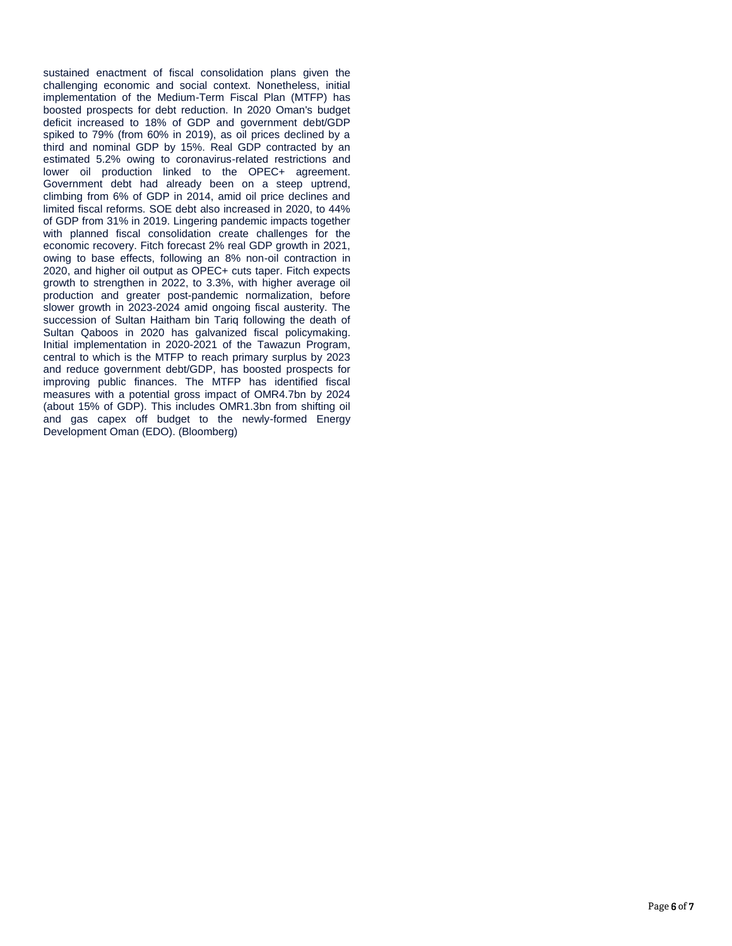sustained enactment of fiscal consolidation plans given the challenging economic and social context. Nonetheless, initial implementation of the Medium-Term Fiscal Plan (MTFP) has boosted prospects for debt reduction. In 2020 Oman's budget deficit increased to 18% of GDP and government debt/GDP spiked to 79% (from 60% in 2019), as oil prices declined by a third and nominal GDP by 15%. Real GDP contracted by an estimated 5.2% owing to coronavirus-related restrictions and lower oil production linked to the OPEC+ agreement. Government debt had already been on a steep uptrend, climbing from 6% of GDP in 2014, amid oil price declines and limited fiscal reforms. SOE debt also increased in 2020, to 44% of GDP from 31% in 2019. Lingering pandemic impacts together with planned fiscal consolidation create challenges for the economic recovery. Fitch forecast 2% real GDP growth in 2021, owing to base effects, following an 8% non-oil contraction in 2020, and higher oil output as OPEC+ cuts taper. Fitch expects growth to strengthen in 2022, to 3.3%, with higher average oil production and greater post-pandemic normalization, before slower growth in 2023-2024 amid ongoing fiscal austerity. The succession of Sultan Haitham bin Tariq following the death of Sultan Qaboos in 2020 has galvanized fiscal policymaking. Initial implementation in 2020-2021 of the Tawazun Program, central to which is the MTFP to reach primary surplus by 2023 and reduce government debt/GDP, has boosted prospects for improving public finances. The MTFP has identified fiscal measures with a potential gross impact of OMR4.7bn by 2024 (about 15% of GDP). This includes OMR1.3bn from shifting oil and gas capex off budget to the newly-formed Energy Development Oman (EDO). (Bloomberg)